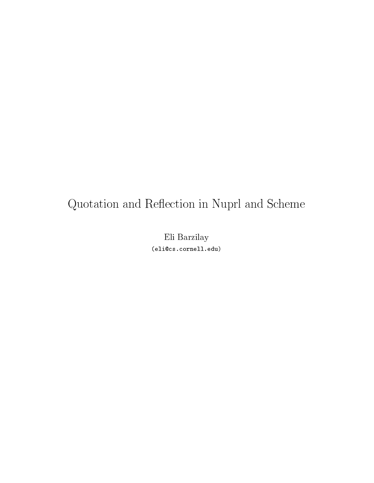# Quotation and Reflection in Nuprl and Scheme

Eli Barzilay (eli@cs.cornell.edu)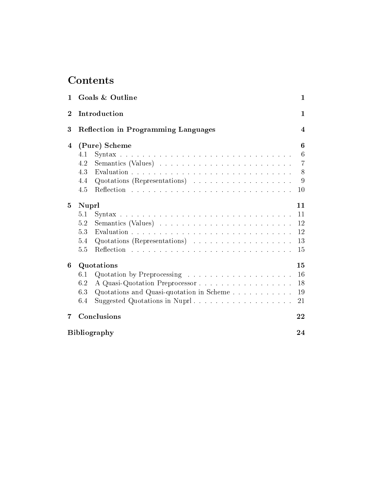| $\mathbf{1}$   |                     | Goals & Outline                                                          | 1              |
|----------------|---------------------|--------------------------------------------------------------------------|----------------|
| $\overline{2}$ |                     | Introduction                                                             | $\mathbf{1}$   |
| 3              |                     | <b>Reflection in Programming Languages</b>                               | $\overline{4}$ |
| 4              | (Pure) Scheme<br>6  |                                                                          |                |
|                | 4.1                 |                                                                          | 6              |
|                | 4.2                 |                                                                          | $\overline{7}$ |
|                | 4.3                 |                                                                          | 8              |
|                | 4.4                 | Quotations (Representations) $\ldots \ldots \ldots \ldots \ldots \ldots$ | $\overline{9}$ |
|                | 4.5                 |                                                                          | 10             |
| $\overline{5}$ | Nuprl<br>11         |                                                                          |                |
|                | 5.1                 |                                                                          | 11             |
|                | 5.2                 |                                                                          | 12             |
|                | 5.3                 |                                                                          | 12             |
|                | 5.4                 | Quotations (Representations)                                             | 13             |
|                | 5.5                 |                                                                          | 15             |
| 6              | Quotations          |                                                                          | 15             |
|                | 6.1                 |                                                                          | 16             |
|                | 6.2                 | A Quasi-Quotation Preprocessor                                           | 18             |
|                | 6.3                 |                                                                          | 19             |
|                | 6.4                 |                                                                          | 21             |
| 7              |                     | Conclusions                                                              | 22             |
|                | <b>Bibliography</b> |                                                                          |                |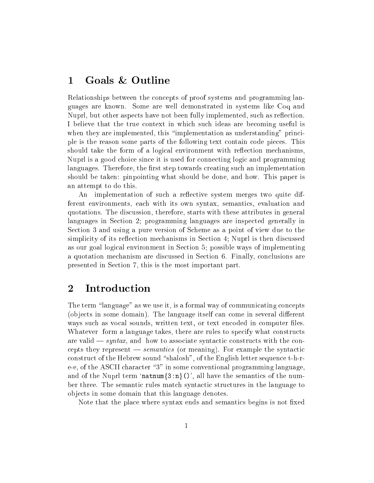#### 1Goals & Outline

Relationships between the concepts of proof systems and programming languages are known. Some are well demonstrated in systems like Coq and Nuprl, but other aspects have not been fully implemented, such as reflection. I believe that the true context in which such ideas are becoming useful is when they are implemented, this "implementation as understanding" principle is the reason some parts of the following text ontain ode pie
es. This should take the form of a logical environment with reflection mechanisms, Nuprl is a good hoi
e sin
e it is used for onne
ting logi and programming languages. Therefore, the first step towards creating such an implementation should be taken: pinpointing what should be done, and how. This paper is an attempt to do this.

An implementation of such a reflective system merges two quite different environments, each with its own syntax, semantics, evaluation and quotations. The dis
ussion, therefore, starts with these attributes in general languages in Section 2; programming languages are inspected generally in Se
tion 3 and using a pure version of S
heme as a point of view due to the simplicity of its reflection mechanisms in Section 4; Nuprl is then discussed as our goal logi
al environment in Se
tion 5; possible ways of implementing a quotation mechanism are discussed in Section 6. Finally, conclusions are presented in Se
tion 7, this is the most important part.

#### 2**Introduction**

The term "language" as we use it, is a formal way of communicating concepts (objects in some domain). The language itself can come in several different ways such as vocal sounds, written text, or text encoded in computer files. Whatever form a language takes, there are rules to specify what constructs are valid  $\frac{d}{dx}$  syntax, and how to associate syntactic constructs with the concepts they represent  $-$  *semantics* (or meaning). For example the syntactic construct of the Hebrew sound "shalosh", of the English letter sequence t-h-re-e, of the ASCII character "3" in some conventional programming language. and of the Nuprl term 'natnum $\{3:n\}$  ()', all have the semantics of the number three. The semantic rules match syntactic structures in the language to obje
ts in some domain that this language denotes.

Note that the place where syntax ends and semantics begins is not fixed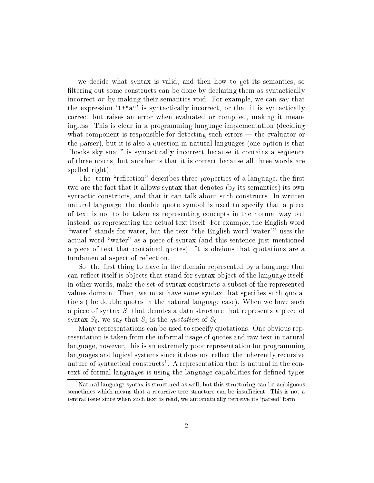— we decide what syntax is valid, and then how to get its semantics, so filtering out some constructs can be done by declaring them as syntactically incorrect or by making their semantics void. For example, we can say that the expression  $1+ia^n$  is syntactically incorrect, or that it is syntactically orre
t but raises an error when evaluated or ompiled, making it meaningless. This is clear in a programming language implementation (deciding what component is responsible for detecting such errors  $-$  the evaluator or the parser), but it is also a question in natural languages (one option is that "books sky snail" is syntactically incorrect because it contains a sequence of three nouns, but another is that it is orre
t be
ause all three words are spelled right).

The term "reflection" describes three properties of a language, the first two are the fact that it allows syntax that denotes (by its semantics) its own syntactic constructs, and that it can talk about such constructs. In written natural language, the double quote symbol is used to specify that a piece of text is not to be taken as representing on
epts in the normal way but instead, as representing the a
tual text itself. For example, the English word "water" stands for water, but the text "the English word 'water'" uses the actual word "water" as a piece of syntax (and this sentence just mentioned a pie
e of text that ontained quotes). It is obvious that quotations are a fundamental aspect of reflection.

So the first thing to have in the domain represented by a language that can reflect itself is objects that stand for syntax object of the language itself, in other words, make the set of syntax onstru
ts a subset of the represented values domain. Then, we must have some syntax that specifies such quotations (the double quotes in the natural language case). When we have such a piece of syntax  $S_1$  that denotes a data structure that represents a piece of syntax  $S_0$ , we say that  $S_1$  is the *quotation* of  $S_0$ .

Many representations can be used to specify quotations. One obvious representation is taken from the informal usage of quotes and raw text in natural language, however, this is an extremely poor representation for programming languages and logical systems since it does not reflect the inherently recursive nature of syntactical constructs . A representation that is natural in the context of formal languages is using the language capabilities for defined types

<sup>&</sup>lt;sup>1</sup>Natural language syntax is structured as well, but this structuring can be ambiguous sometimes which means that a recursive tree structure can be insufficient. This is not a central issue since when such text is read, we automatically perceive its 'parsed' form.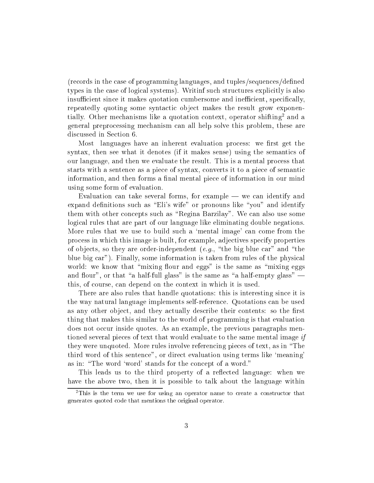(re
ords in the ase of programming languages, and tuples/sequen
es/dened types in the case of logical systems). Writinf such structures explicitly is also insufficient since it makes quotation cumbersome and inefficient, specifically, repeatedly quoting some syntactic object makes the result grow exponentially. Other mechanisms like a quotation context, operator shifting and a general prepro
essing me
hanism an all help solve this problem, these are dis
ussed in Se
tion 6.

Most languages have an inherent evaluation process: we first get the syntax, then see what it denotes (if it makes sense) using the semantics of our language, and then we evaluate the result. This is a mental pro
ess that starts with a senten
e as a pie
e of syntax, onverts it to a pie
e of semanti information, and then forms a final mental piece of information in our mind using some form of evaluation.

Evaluation can take several forms, for example  $-$  we can identify and expand definitions such as "Eli's wife" or pronouns like "you" and identify them with other concepts such as "Regina Barzilay". We can also use some logi
al rules that are part of our language like eliminating double negations. More rules that we use to build such a 'mental image' can come from the pro
ess in whi
h this image is built, for example, adje
tives spe
ify properties of objects, so they are order-independent (e.g., "the big blue car" and "the blue big car"). Finally, some information is taken from rules of the physical world: we know that "mixing flour and eggs" is the same as "mixing eggs and flour", or that "a half-full glass" is the same as "a half-empty glass"  $$ this, of ourse, an depend on the ontext in whi
h it is used.

There are also rules that handle quotations: this is interesting since it is the way natural language implements self-referen
e. Quotations an be used as any other object, and they actually describe their contents: so the first thing that makes this similar to the world of programming is that evaluation does not occur inside quotes. As an example, the previous paragraphs mentioned several pieces of text that would evaluate to the same mental image if they were unquoted. More rules involve referencing pieces of text, as in "The third word of this senten
e", or dire
t evaluation using terms like `meaning' as in: "The word 'word' stands for the concept of a word."

This leads us to the third property of a reflected language: when we have the above two, then it is possible to talk about the language within

<sup>2</sup> This is the term we use for using an operator name to reate a onstru
tor that generates quoted ode that mentions the original operator.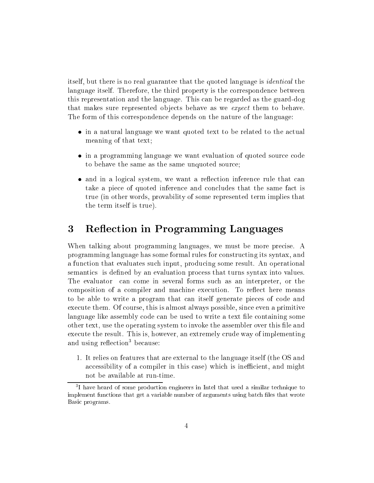itself, but there is no real guarantee that the quoted language is *identical* the language itself. Therefore, the third property is the correspondence between this representation and the language. This an be regarded as the guard-dog that makes sure represented objects behave as we *expect* them to behave. The form of this orresponden
e depends on the nature of the language:

- in a natural language we want quoted text to be related to the and the a meaning of that text;
- in a programming language we want evaluation of quoted sour
e ode to behave the same as the same unquoted sour
e;
- and in a logicity was expected to the rule that the rule that is not a rule to the contract of the contract of take a pie
e of quoted inferen
e and on
ludes that the same fa
t is true (in other words, provability of some represented term implies that the term itself is true).

#### 3Reflection in Programming Languages

When talking about programming languages, we must be more pre
ise. A programming language has some formal rules for onstru
ting its syntax, and a fun
tion that evaluates su
h input, produ
ing some result. An operational semantics is defined by an evaluation process that turns syntax into values. The evaluator can come in several forms such as an interpreter, or the composition of a compiler and machine execution. To reflect here means to be able to write a program that an itself generate pie
es of ode and execute them. Of course, this is almost always possible, since even a primitive language like assembly code can be used to write a text file containing some other text, use the operating system to invoke the assembler over this file and execute the result. This is, however, an extremely crude way of implementing and using renection<sup>-</sup> because:

1. It relies on features that are external to the language itself (the OS and accessibility of a compiler in this case) which is inefficient, and might not be available at run-time.

I have heard of some production engineers in Intel that used a similar technique to implement functions that get a variable number of arguments using batch files that wrote Basi programs.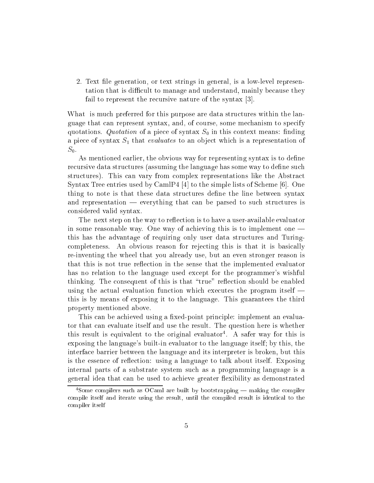2. Text file generation, or text strings in general, is a low-level representation that is difficult to manage and understand, mainly because they fail to represent the recursive nature of the syntax  $|3|$ .

What is much preferred for this purpose are data structures within the language that can represent syntax, and, of course, some mechanism to specify quotations. Quotation of a piece of syntax  $S_0$  in this context means: finding a piece of syntax  $S_1$  that *evaluates* to an object which is a representation of  $S_0$ .

As mentioned earlier, the obvious way for representing syntax is to define recursive data structures (assuming the language has some way to define such structures). This can vary from complex representations like the Abstract Syntax Tree entries used by CamlP4 [4] to the simple lists of Scheme [6]. One thing to note is that these data structures define the line between syntax and representation  $-$  everything that can be parsed to such structures is onsidered valid syntax.

The next step on the way to reflection is to have a user-available evaluator in some reasonable way. One way of achieving this is to implement one  $$ this has the advantage of requiring only user data stru
tures and Turing completeness. An obvious reason for rejecting this is that it is basically re-inventing the wheel that you already use, but an even stronger reason is that this is not true reflection in the sense that the implemented evaluator has no relation to the language used ex
ept for the programmer's wishful thinking. The consequent of this is that "true" reflection should be enabled using the actual evaluation function which executes the program itself  $$ this is by means of exposing it to the language. This guarantees the third property mentioned above.

This can be achieved using a fixed-point principle: implement an evaluator that an evaluate itself and use the result. The question here is whether this result is equivalent to the original evaluator. A safer way for this is exposing the language's built-in evaluator to the language itself; by this, the interfa
e barrier between the language and its interpreter is broken, but this is the essen
e of re
e
tion: using a language to talk about itself. Exposing internal parts of a substrate system su
h as a programming language is a general idea that can be used to achieve greater flexibility as demonstrated

<sup>-</sup>Some compilers such as OCami are built by bootstrapping — making the compiler compile itself and iterate using the result, until the compiled result is identical to the ompiler itself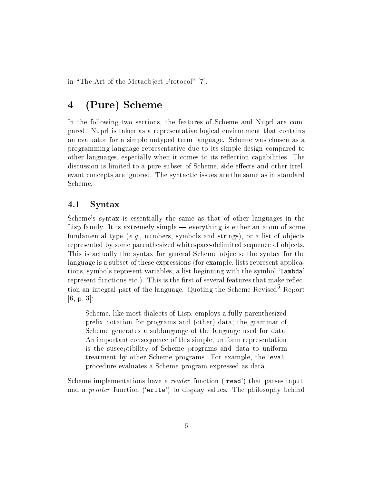in "The Art of the Metaobject Protocol" [7].

### 4(Pure) S
heme

In the following two sections, the features of Scheme and Nuprl are compared. Nuprl is taken as a representative logi
al environment that ontains an evaluator for a simple untyped term language. S
heme was hosen as a programming language representative due to its simple design ompared to other languages, especially when it comes to its reflection capabilities. The discussion is limited to a pure subset of Scheme, side effects and other irrelevant concepts are ignored. The syntactic issues are the same as in standard S
heme.

### 4.1 Syntax

S
heme's syntax is essentially the same as that of other languages in the Lisp family. It is extremely simple — everything is either an atom of some fundamental type (*e.g.*, numbers, symbols and strings), or a list of objects represented by some parenthesized whitespa
e-delimited sequen
e of obje
ts. This is a
tually the syntax for general S
heme obje
ts; the syntax for the language is a subset of these expressions (for example, lists represent appli
ations, symbols represent variables, a list beginning with the symbol `lambda' represent functions etc.). This is the first of several features that make reflection an integral part of the language. Quoting the Scheme Revised<sup>5</sup> Report  $-$  -  $[6, p. 3]:$ 

S
heme, like most diale
ts of Lisp, employs a fully parenthesized prex notation for programs and (other) data; the grammar of S
heme generates a sublanguage of the language used for data. An important onsequen
e of this simple, uniform representation is the sus
eptibility of S
heme programs and data to uniform treatment by other S
heme programs. For example, the `eval' pro
edure evaluates a S
heme program expressed as data.

Scheme implementations have a *reader* function ('read') that parses input. and a *printer* function ('write') to display values. The philosophy behind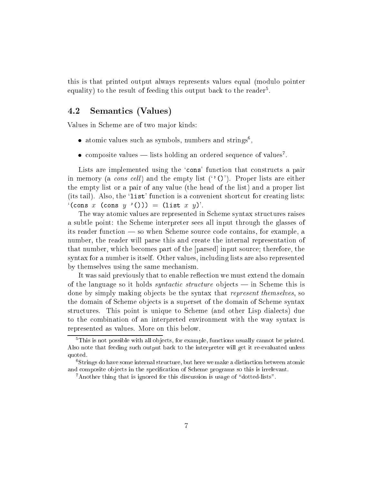this is that printed output always represents values equal (modulo pointer equality) to the result of feeding this output back to the reader .

#### 4.2 Semantics (Values)

Values in S
heme are of two major kinds:

- $\bullet$  atomic values such as symbols, numbers and strings ,
- $\bullet$  composite values lists holding an ordered sequence of values .

Lists are implemented using the 'cons' function that constructs a pair in memory (a *cons cell*) and the empty list  $(2)$ . Proper lists are either the empty list or a pair of any value (the head of the list) and a proper list (its tail). Also, the 'list' function is a convenient shortcut for creating lists:  $f(\text{cons } x \text{ (cons } y \text{ '}()) ) = (\text{list } x y)'.$ 

The way atomic values are represented in Scheme syntax structures raises a subtle point: the S
heme interpreter sees all input through the glasses of its reader function — so when Scheme source code contains, for example, a number, the reader will parse this and create the internal representation of that number, which becomes part of the [parsed] input source; therefore, the syntax for a number is itself. Other values, in
luding lists are also represented by themselves using the same me
hanism.

It was said previously that to enable reflection we must extend the domain of the language so it holds *syntactic structure* objects — in Scheme this is done by simply making objects be the syntax that *represent themselves*, so the domain of S
heme obje
ts is a superset of the domain of S
heme syntax structures. This point is unique to Scheme (and other Lisp dialects) due to the ombination of an interpreted environment with the way syntax is represented as values. More on this below.

<sup>5</sup> This is not possible with all ob je
ts, for example, fun
tions usually annot be printed. Also note that feeding su
h output ba
k to the interpreter will get it re-evaluated unless quoted.

 $\lceil$ Strings do have some internal structure, but here we make a distinction between atomic and composite objects in the specification of Scheme programs so this is irrelevant.

<sup>&</sup>lt;sup>7</sup>Another thing that is ignored for this discussion is usage of "dotted-lists".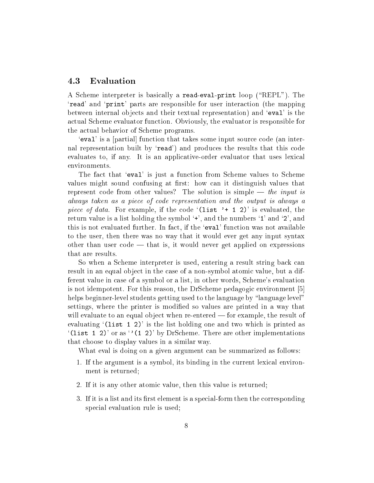### 4.3 Evaluation

A Scheme interpreter is basically a read-eval-print loop ("REPL"). The `read' and `print' parts are responsible for user intera
tion (the mapping between internal objects and their textual representation) and 'eval' is the a
tual S
heme evaluator fun
tion. Obviously, the evaluator is responsible for the a
tual behavior of S
heme programs.

'eval' is a [partial] function that takes some input source code (an internal representation built by 'read') and produces the results that this code evaluates to, if any. It is an applicative-order evaluator that uses lexical environments.

The fact that 'eval' is just a function from Scheme values to Scheme values might sound confusing at first: how can it distinguish values that represent code from other values? The solution is simple  $-$  the input is always taken as a pie
e of ode representation and the output is always a piece of data. For example, if the code  $(list' + 1 2)'$  is evaluated, the return value is a list holding the symbol  $+$ , and the numbers  $\mathbf{1}'$  and  $\mathbf{2}'$ , and this is not evaluated further. In fact, if the 'eval' function was not available to the user, then there was no way that it would ever get any input syntax other than user  $\cot \theta$  — that is, it would never get applied on expressions that are results.

So when a Scheme interpreter is used, entering a result string back can result in an equal object in the case of a non-symbol atomic value, but a different value in ase of a symbol or a list, in other words, S
heme's evaluation is not idempotent. For this reason, the DrScheme pedagogic environment [5] helps beginner-level students getting used to the language by "language level" settings, where the printer is modified so values are printed in a way that will evaluate to an equal object when re-entered  $-$  for example, the result of evaluating  $(list 1 2)$  is the list holding one and two which is printed as  $($ (1ist 1 2)' or as  $($ 1 2)' by DrScheme. There are other implementations that hoose to display values in a similar way.

What eval is doing on a given argument can be summarized as follows:

- 1. If the argument is a symbol, its binding in the current lexical environment is returned;
- 2. If it is any other atomic value, then this value is returned;
- 3. If it is a list and its first element is a special-form then the corresponding special evaluation rule is used;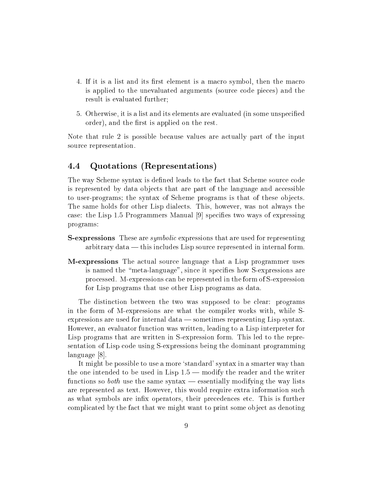- 4. If it is a list and its first element is a macro symbol, then the macro is applied to the unevaluated arguments (source code pieces) and the result is evaluated further;
- 5. Otherwise, it is a list and its elements are evaluated (in some unspecified order), and the first is applied on the rest.

Note that rule 2 is possible because values are actually part of the input sour
e representation.

#### Quotations (Representations)  $4.4\,$

The way Scheme syntax is defined leads to the fact that Scheme source code is represented by data objects that are part of the language and accessible to user-programs; the syntax of S
heme programs is that of these obje
ts. The same holds for other Lisp dialects. This, however, was not always the case: the Lisp 1.5 Programmers Manual  $[9]$  specifies two ways of expressing programs:

- S-expressions These are symboli expressions that are used for representing arbitrary data — this includes Lisp source represented in internal form.
- M-expressions The a
tual sour
e language that a Lisp programmer uses is named the "meta-language", since it specifies how S-expressions are pro
essed. M-expressions an be represented in the form of S-expression for Lisp programs that use other Lisp programs as data.

The distin
tion between the two was supposed to be lear: programs in the form of M-expressions are what the ompiler works with, while Sexpressions are used for internal data — sometimes representing Lisp syntax. However, an evaluator function was written, leading to a Lisp interpreter for Lisp programs that are written in S-expression form. This led to the representation of Lisp ode using S-expressions being the dominant programming language [8].

It might be possible to use a more 'standard' syntax in a smarter way than the one intended to be used in Lisp  $1.5$  — modify the reader and the writer functions so *both* use the same syntax — essentially modifying the way lists are represented as text. However, this would require extra information su
h as what symbols are infix operators, their precedences etc. This is further ompli
ated by the fa
t that we might want to print some obje
t as denoting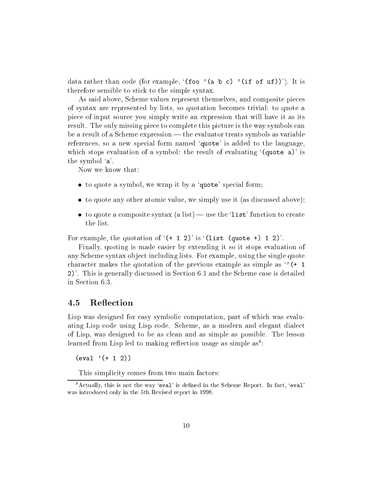data rather than code (for example, '(foo '(a b c) '(if of uf))'). It is therefore sensible to sti
k to the simple syntax.

As said above, S
heme values represent themselves, and omposite pie
es of syntax are represented by lists, so quotation be
omes trivial: to quote a pie
e of input sour
e you simply write an expression that will have it as its result. The only missing piece to complete this picture is the way symbols can be a result of a Scheme expression  $-$  the evaluator treats symbols as variable references, so a new special form named 'quote' is added to the language, which stops evaluation of a symbol: the result of evaluating  $(guote a)'$  is the symbol `a'.

Now we know that:

- $\bullet$  to quote a symbol, we wrap it by a 'quote' special form;
- to quote any other atomi value, we simply use it (as dis
ussed above);
- to quote a composite syntax (a list) use the 'list' function to create the list.

For example, the quotation of  $(+ 1 2)'$  is  $($ list (quote +) 1 2).

Finally, quoting is made easier by extending it so it stops evaluation of any S
heme syntax obje
t in
luding lists. For example, using the single quote character makes the quotation of the previous example as simple as  $\cdot$  (+ 1) 2)'. This is generally dis
ussed in Se
tion 6.1 and the S
heme ase is detailed in Se
tion 6.3.

#### $4.5$ **Reflection**

Lisp was designed for easy symbolic computation, part of which was evaluating Lisp ode using Lisp ode. S
heme, as a modern and elegant diale
t of Lisp, was designed to be as lean and as simple as possible. The lesson rearned from Lisp led to making reflection usage as simple as :

(eval '(+ <sup>1</sup> 2))

This simplicity comes from two main factors:

<sup>&</sup>lt;sup>8</sup>Actually, this is not the way 'eval' is defined in the Scheme Report. In fact, 'eval' was introdu
ed only in the 5th Revised report in 1998.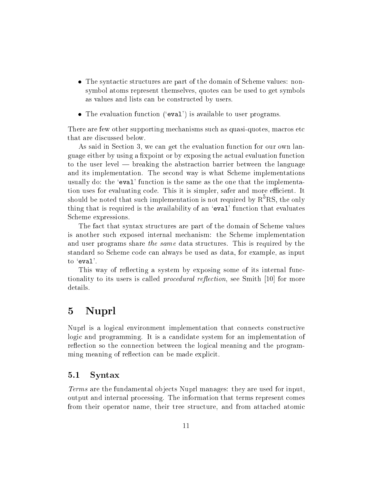- tures are part of the syntaxy of the domain of the domain of the domain of September 2014. The domain of September 2014 symbol atoms represent themselves, quotes an be used to get symbols as values and lists an be onstru
ted by users.
- The evaluation function ('eval') is available to user programs.

There are few other supporting mechanisms such as quasi-quotes, macros etc. that are dis
ussed below.

As said in Section 3, we can get the evaluation function for our own language either by using a fixpoint or by exposing the actual evaluation function to the user level — breaking the abstraction barrier between the language and its implementation. The se
ond way is what S
heme implementations usually do: the 'eval' function is the same as the one that the implementation uses for evaluating code. This it is simpler, safer and more efficient. It should be noted that such implementation is not required by  $\mathrm{R}^\ast\mathrm{K}\mathrm{S},$  the only thing that is required is the availability of an 'eval' function that evaluates S
heme expressions.

The fact that syntax structures are part of the domain of Scheme values is another such exposed internal mechanism: the Scheme implementation and user programs share the same data structures. This is required by the standard so S
heme ode an always be used as data, for example, as input to `eval'.

This way of reflecting a system by exposing some of its internal functionality to its users is called *procedural reflection*, see Smith  $[10]$  for more details.

#### 5Nuprl

Nuprl is a logical environment implementation that connects constructive logic and programming. It is a candidate system for an implementation of reflection so the connection between the logical meaning and the programming meaning of reflection can be made explicit.

### 5.1 Syntax

Terms are the fundamental obje
ts Nuprl manages: they are used for input, output and internal pro
essing. The information that terms represent omes from their operator name, their tree structure, and from attached atomic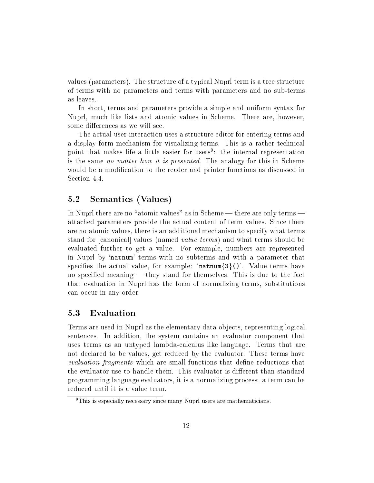values (parameters). The stru
ture of a typi
al Nuprl term is a tree stru
ture of terms with no parameters and terms with parameters and no sub-terms as leaves.

In short, terms and parameters provide a simple and uniform syntax for Nuprl, much like lists and atomic values in Scheme. There are, however, some differences as we will see.

The a
tual user-intera
tion uses a stru
ture editor for entering terms and a display form mechanism for visualizing terms. This is a rather technical point that makes life a little easier for users<sup>9</sup> : the internal representation is the same no matter how it is presented. The analogy for this in Scheme would be a modification to the reader and printer functions as discussed in Section 4.4.

### 5.2 Semanti
s (Values)

In Nuprl there are no "atomic values" as in Scheme — there are only terms atta
hed parameters provide the a
tual ontent of term values. Sin
e there are no atomic values, there is an additional mechanism to specify what terms stand for canonical values (named *value terms*) and what terms should be evaluated further to get a value. For example, numbers are represented in Nuprl by `natnum' terms with no subterms and with a parameter that specifies the actual value, for example: 'natnum $\{3\}$ ()'. Value terms have no specified meaning  $-$  they stand for themselves. This is due to the fact that evaluation in Nuprl has the form of normalizing terms, substitutions can occur in any order.

### 5.3 Evaluation

Terms are used in Nuprl as the elementary data obje
ts, representing logi
al senten
es. In addition, the system ontains an evaluator omponent that uses terms as an untyped lambda-calculus like language. Terms that are not de
lared to be values, get redu
ed by the evaluator. These terms have evaluation fragments which are small functions that define reductions that the evaluator use to handle them. This evaluator is different than standard programming language evaluators, it is a normalizing pro
ess: a term an be redu
ed until it is a value term.

t nis is especially necessary since many ivupri users are mathematicians.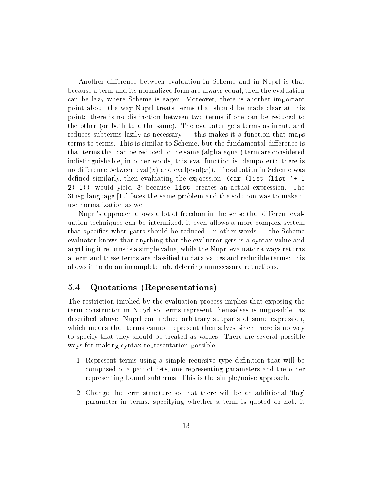Another difference between evaluation in Scheme and in Nuprl is that be
ause a term and its normalized form are always equal, then the evaluation an be lazy where S
heme is eager. Moreover, there is another important point about the way Nuprl treats terms that should be made lear at this point: there is no distinction between two terms if one can be reduced to the other (or both to a the same). The evaluator gets terms as input, and reduces subterms lazily as necessary — this makes it a function that maps terms to terms. This is similar to Scheme, but the fundamental difference is that terms that an be redu
ed to the same (alpha-equal) term are onsidered indistinguishable, in other words, this eval function is idempotent: there is no difference between  $eval(x)$  and  $evaleval(x)$ ). If evaluation in Scheme was defined similarly, then evaluating the expression  $\text{Car (list (list '+ 1))}$ 2) 1))' would yield `3' be
ause `list' reates an a
tual expression. The  $3$ Lisp language  $[10]$  faces the same problem and the solution was to make it use normalization as well.

Nuprl's approach allows a lot of freedom in the sense that different evaluation te
hniques an be intermixed, it even allows a more omplex system that specifies what parts should be reduced. In other words — the Scheme evaluator knows that anything that the evaluator gets is a syntax value and anything it returns is a simple value, while the Nuprl evaluator always returns a term and these terms are classified to data values and reducible terms: this allows it to do an incomplete job, deferring unnecessary reductions.

### 5.4 Quotations (Representations)

The restriction implied by the evaluation process implies that exposing the term onstru
tor in Nuprl so terms represent themselves is impossible: as des
ribed above, Nuprl an redu
e arbitrary subparts of some expression, which means that terms cannot represent themselves since there is no way to spe
ify that they should be treated as values. There are several possible ways for making syntax representation possible:

- 1. Represent terms using a simple recursive type definition that will be omposed of a pair of lists, one representing parameters and the other representing bound subterms. This is the simple/naive approa
h.
- 2. Change the term structure so that there will be an additional 'flag' parameter in terms, spe
ifying whether a term is quoted or not, it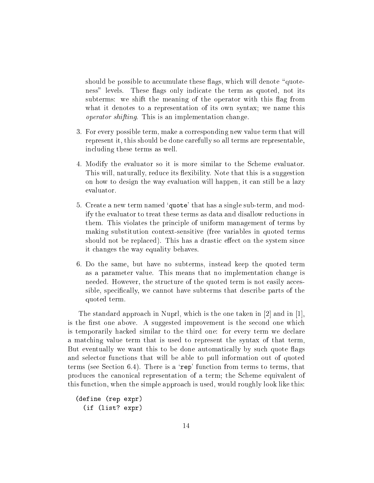should be possible to accumulate these flags, which will denote "quoteness" levels. These flags only indicate the term as quoted, not its subterms: we shift the meaning of the operator with this flag from what it denotes to a representation of its own syntax; we name this operator shifting. This is an implementation hange.

- 3. For every possible term, make a orresponding new value term that will represent it, this should be done arefully so all terms are representable, in
luding these terms as well.
- 4. Modify the evaluator so it is more similar to the S
heme evaluator. This will, naturally, reduce its flexibility. Note that this is a suggestion on how to design the way evaluation will happen, it can still be a lazy evaluator.
- 5. Create a new term named `quote' that has a single sub-term, and modify the evaluator to treat these terms as data and disallow redu
tions in them. This violates the principle of uniform management of terms by making substitution ontext-sensitive (free variables in quoted terms should not be replaced). This has a drastic effect on the system since it hanges the way equality behaves.
- 6. Do the same, but have no subterms, instead keep the quoted term as a parameter value. This means that no implementation hange is needed. However, the structure of the quoted term is not easily accessible, specifically, we cannot have subterms that describe parts of the quoted term.

The standard approach in Nuprl, which is the one taken in  $|2|$  and in  $|1|$ , is the first one above. A suggested improvement is the second one which is temporarily ha
ked similar to the third one: for every term we de
lare a mat
hing value term that is used to represent the syntax of that term, But eventually we want this to be done automatically by such quote flags and sele
tor fun
tions that will be able to pull information out of quoted terms (see Section 6.4). There is a 'rep' function from terms to terms, that produ
es the anoni
al representation of a term; the S
heme equivalent of this function, when the simple approach is used, would roughly look like this:

```
(define (rep expr)
  (if (list? expr)
```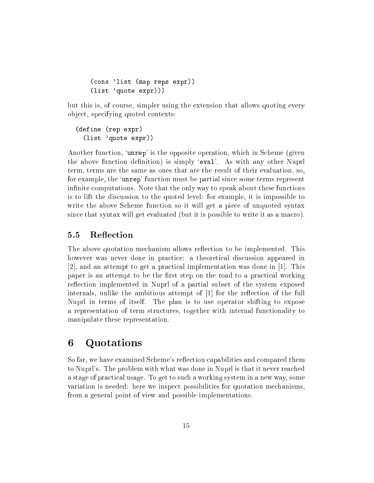```
(
ons 'list (map reps expr))
(list 'quote expr)))
```
but this is, of ourse, simpler using the extension that allows quoting every obje
t, spe
ifying quoted ontexts:

```
(define (rep expr)
  (list 'quote expr))
```
Another function, 'unrep' is the opposite operation, which in Scheme (given the above function definition) is simply 'eval'. As with any other Nuprl term, terms are the same as ones that are the result of their evaluation, so, for example, the `unrep' fun
tion must be partial sin
e some terms represent infinite computations. Note that the only way to speak about these functions is to lift the dis
ussion to the quoted level: for example, it is impossible to write the above Scheme function so it will get a piece of unquoted syntax since that syntax will get evaluated (but it is possible to write it as a macro).

#### $5.5$ Reflection

The above quotation mechanism allows reflection to be implemented. This however was never done in practice: a theoretical discussion appeared in [2], and an attempt to get a practical implementation was done in [1]. This paper is an attempt to be the first step on the road to a practical working reflection implemented in Nuprl of a partial subset of the system exposed internals, unlike the ambitious attempt of  $[1]$  for the reflection of the full Nuprl in terms of itself. The plan is to use operator shifting to expose a representation of term structures, together with internal functionality to manipulate these representation.

#### 6Quotations

So far, we have examined Scheme's reflection capabilities and compared them to Nuprl's. The problem with what was done in Nuprl is that it never rea
hed a stage of pra
ti
al usage. To get to su
h a working system in a new way, some variation is needed: here we inspe
t possibilities for quotation me
hanisms, from a general point of view and possible implementations.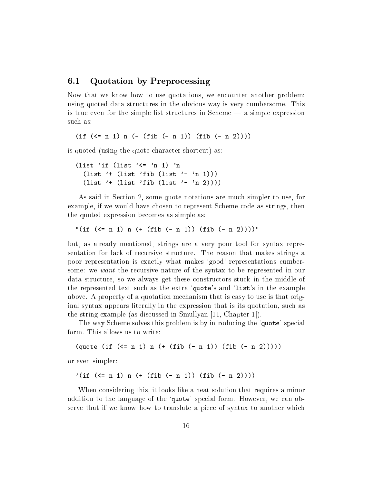### 6.1 Quotation by Prepro
essing

Now that we know how to use quotations, we encounter another problem: using quoted data stru
tures in the obvious way is very umbersome. This is true even for the simple list structures in Scheme  $-$  a simple expression such as:

 $\blacksquare$ 

is quoted (using the quote character shortcut) as:

(list 'if (list '<= 'n 1) 'n (list '+ (list 'fib (list '- 'n 1))) (list '+ (list 'fib (list '- 'n 2))))

As said in Section 2, some quote notations are much simpler to use, for example, if we would have chosen to represent Scheme code as strings, then the quoted expression be
omes as simple as:

"(if (<= <sup>n</sup> 1) <sup>n</sup> (+ (fib (- <sup>n</sup> 1)) (fib (- <sup>n</sup> 2))))"

but, as already mentioned, strings are a very poor tool for syntax representation for la
k of re
ursive stru
ture. The reason that makes strings a poor representation is exactly what makes 'good' representations cumbersome: we want the re
ursive nature of the syntax to be represented in our data structure, so we always get these constructors stuck in the middle of the represented text such as the extra 'quote's and 'list's in the example above. A property of a quotation me
hanism that is easy to use is that original syntax appears literally in the expression that is its quotation, su
h as the string example (as discussed in Smullyan  $[11, Chapter 1]$ ).

The way Scheme solves this problem is by introducing the 'quote' special form. This allows us to write:

(quote (if (<= <sup>n</sup> 1) <sup>n</sup> (+ (fib (- <sup>n</sup> 1)) (fib (- <sup>n</sup> 2)))))

or even simpler:

'(if (<= <sup>n</sup> 1) <sup>n</sup> (+ (fib (- <sup>n</sup> 1)) (fib (- <sup>n</sup> 2))))

When considering this, it looks like a neat solution that requires a minor addition to the language of the 'quote' special form. However, we can observe that if we know how to translate a pie
e of syntax to another whi
h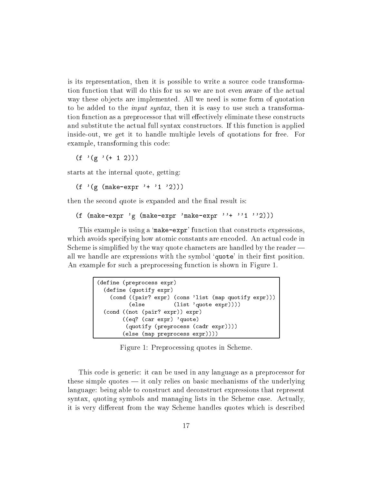is its representation, then it is possible to write a source code transformation fun
tion that will do this for us so we are not even aware of the a
tual way these obje
ts are implemented. All we need is some form of quotation to be added to the *input syntax*, then it is easy to use such a transformation function as a preprocessor that will effectively eliminate these constructs and substitute the a
tual full syntax onstru
tors. If this fun
tion is applied inside-out, we get it to handle multiple levels of quotations for free. For example, transforming this ode:

 $(f'(\g)$  (+ 1 2))

starts at the internal quote, getting:

(f '(g (make-expr '+ '1 '2)))

then the second quote is expanded and the final result is:

(f (make-expr 'g (make-expr 'make-expr ''+ ''1 ''2)))

This example is using a 'make-expr' function that constructs expressions. which avoids specifying how atomic constants are encoded. An actual code in Scheme is simplified by the way quote characters are handled by the reader all we handle are expressions with the symbol 'quote' in their first position. An example for such a preprocessing function is shown in Figure 1.

```
\mathbf{d} , we can assume that the contract of the contract of the contract of the contract of the contract of the contract of the contract of the contract of the contract of the contract of the contract of the contract of
    \mathcal{A} and \mathcal{A} expressions of the contract of the contract of the contract of the contract of the contract of the contract of the contract of the contract of the contract of the contract of the contract of the cont
         (
ond ((pair? expr) (
ons 'list (map quotify expr)))
                        \sim - - -(else (list 'quote expr))))
    \---- \\--- \r--- \r--- \/ ---- )
                   ((eq? (
ar expr) 'quote)
                      \sqrt{2}(else (map prepro
ess expr))))
```
Figure 1: Prepro
essing quotes in S
heme.

This code is generic: it can be used in any language as a preprocessor for these simple quotes  $-$  it only relies on basic mechanisms of the underlying language: being able to onstru
t and de
onstru
t expressions that represent syntax, quoting symbols and managing lists in the Scheme case. Actually, it is very different from the way Scheme handles quotes which is described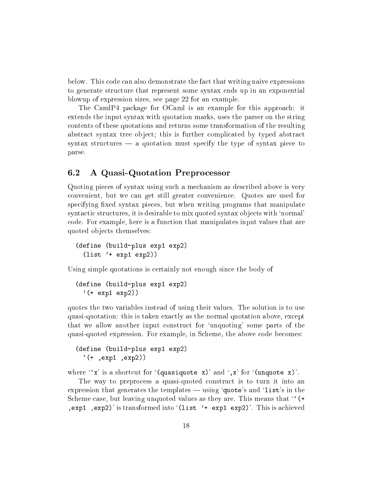below. This ode an also demonstrate the fa
t that writing naive expressions to generate structure that represent some syntax ends up in an exponential blowup of expression sizes, see page 22 for an example.

The CamIP4 package for OCaml is an example for this approach: it extends the input syntax with quotation marks, uses the parser on the string ontents of these quotations and returns some transformation of the resulting abstract syntax tree object; this is further complicated by typed abstract syntax structures  $\frac{1}{\sqrt{2}}$  a quotation must specify the type of syntax piece to parse.

### 6.2 A Quasi-Quotation Prepro
essor

Quoting pie
es of syntax using su
h a me
hanism as des
ribed above is very onvenient, but we an get still greater onvenien
e. Quotes are used for specifying fixed syntax pieces, but when writing programs that manipulate syntactic structures, it is desirable to mix quoted syntax objects with 'normal' ode. For example, here is a fun
tion that manipulates input values that are quoted obje
ts themselves:

```
(define (build-plus exp1 exp2)
  (list '+ exp1 exp2))
```
Using simple quotations is certainly not enough since the body of

```
(define (build-plus exp1 exp2)
  '(+ exp1 exp2))
```
quotes the two variables instead of using their values. The solution is to use quasi-quotation: this is taken exa
tly as the normal quotation above, ex
ept that we allow another input onstru
t for `unquoting' some parts of the quasi-quoted expression. For example, in S
heme, the above ode be
omes:

```
(define \mathbf{p} expansion expansion expansion expansion expansion exp
     \sim , \sim , \sim , \sim , \sim , \sim , \sim
```
where  $'x'$  is a shortcut for  $'(quasiquote x)'$  and  $',x'$  for  $'(unquote x)'$ .

The way to preprocess a quasi-quoted construct is to turn it into an expression that generates the templates  $-\sin g$  'quote's and 'list's in the Scheme case, but leaving unquoted values as they are. This means that "(+  $, \text{exp1}$ ,  $\text{exp2}'$  is transformed into  $($ list  $'$  +  $\text{exp1}$   $\text{exp2}'$ . This is achieved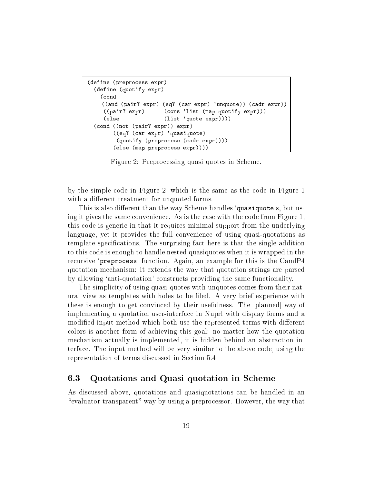```
(define (prepro
ess expr)
  \sqrt{2} . The fine \sqrt{2} and \sqrt{2} expression \sqrt{2}(
ond
    ((and (pair? expr) (eq? (car expr) 'unquote)) (cadr expr))
    ((pair?(cons 'list (map quotify expr)))
     (else (list 'quote expr))))
  (
ond ((not (pair? expr)) expr)
        ((eq? (
ar expr) 'quasiquote)
         \sqrt{2}(else (map prepro
ess expr))))
```
Figure 2: Prepro
essing quasi quotes in S
heme.

by the simple ode in Figure 2, whi
h is the same as the ode in Figure 1 with a different treatment for unquoted forms.

This is also different than the way Scheme handles 'quasiquote's, but using it gives the same convenience. As is the case with the code from Figure 1. this ode is generi in that it requires minimal support from the underlying language, yet it provides the full onvenien
e of using quasi-quotations as template specifications. The surprising fact here is that the single addition to this ode is enough to handle nested quasiquotes when it is wrapped in the recursive 'preprocess' function. Again, an example for this is the CamlP4 quotation me
hanism: it extends the way that quotation strings are parsed by allowing 'anti-quotation' constructs providing the same functionality.

The simplicity of using quasi-quotes with unquotes comes from their natural view as templates with holes to be filed. A very brief experience with these is enough to get convinced by their usefulness. The [planned] way of implementing a quotation user-interfa
e in Nuprl with display forms and a modified input method which both use the represented terms with different colors is another form of achieving this goal: no matter how the quotation me
hanism a
tually is implemented, it is hidden behind an abstra
tion interfa
e. The input method will be very similar to the above ode, using the representation of terms discussed in Section 5.4.

#### 6.3 Quotations and Quasi-quotation in Scheme

As dis
ussed above, quotations and quasiquotations an be handled in an \evaluator-transparent" way by using a prepro
essor. However, the way that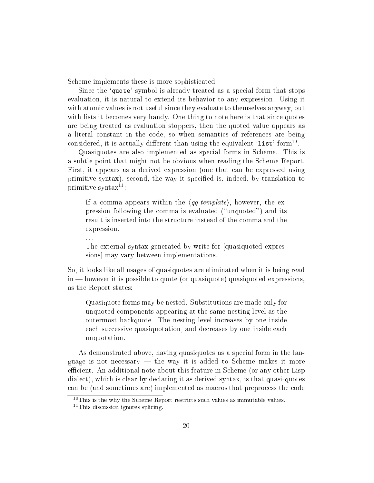Scheme implements these is more sophisticated.

Since the 'quote' symbol is already treated as a special form that stops evaluation, it is natural to extend its behavior to any expression. Using it with atomic values is not useful since they evaluate to themselves anyway, but with lists it becomes very handy. One thing to note here is that since quotes are being treated as evaluation stoppers, then the quoted value appears as a literal constant in the code, so when semantics of references are being considered, it is actually different than using the equivalent 'list' form<sup>10</sup>.

Quasiquotes are also implemented as special forms in Scheme. This is a subtle point that might not be obvious when reading the S
heme Report. First, it appears as a derived expression (one that an be expressed using primitive syntax), second, the way it specified is, indeed, by translation to primitive syntax $11$ :

If a comma appears within the  $\langle qq\text{-}template \rangle$ , however, the expression following the comma is evaluated ("unquoted") and its result is inserted into the structure instead of the comma and the expression.

The external syntax generated by write for [quasiquoted expressions may vary between implementations.

So, it looks like all usages of quasiquotes are eliminated when it is being read in — however it is possible to quote (or quasiquote) quasiquoted expressions, as the Report states:

Quasiquote forms may be nested. Substitutions are made only for unquoted omponents appearing at the same nesting level as the outermost ba
kquote. The nesting level in
reases by one inside each successive quasiquotation, and decreases by one inside each unquotation.

As demonstrated above, having quasiquotes as a special form in the language is not necessary  $-$  the way it is added to Scheme makes it more efficient. An additional note about this feature in Scheme (or any other Lisp dialect), which is clear by declaring it as derived syntax, is that quasi-quotes an be (and sometimes are) implemented as ma
ros that prepro
ess the ode

. . .

 $10$ This is the why the Scheme Report restricts such values as immutable values.

 $11$ This discussion ignores splicing.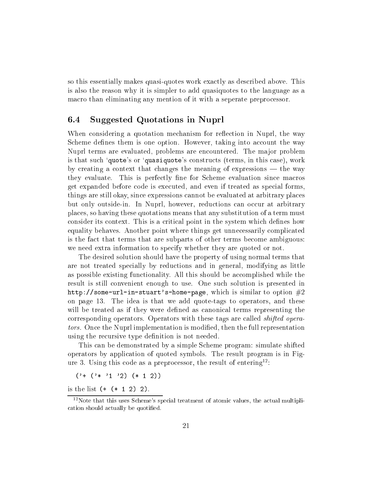so this essentially makes quasi-quotes work exactly as described above. This is also the reason why it is simpler to add quasiquotes to the language as a macro than eliminating any mention of it with a seperate preprocessor.

### 6.4 Suggested Quotations in Nuprl

When considering a quotation mechanism for reflection in Nuprl, the way Scheme defines them is one option. However, taking into account the way Nuprl terms are evaluated, problems are en
ountered. The major problem is that such 'quote's or 'quasiquote's constructs (terms, in this case), work by creating a context that changes the meaning of expressions  $-$  the way they evaluate. This is perfectly fine for Scheme evaluation since macros get expanded before ode is exe
uted, and even if treated as spe
ial forms, things are still okay, sin
e expressions annot be evaluated at arbitrary pla
es but only outside-in. In Nuprl, however, reductions can occur at arbitrary pla
es, so having these quotations means that any substitution of a term must consider its context. This is a critical point in the system which defines how equality behaves. Another point where things get unne
essarily ompli
ated is the fa
t that terms that are subparts of other terms be
ome ambiguous: we need extra information to specify whether they are quoted or not.

The desired solution should have the property of using normal terms that are not treated spe
ially by redu
tions and in general, modifying as little as possible existing functionality. All this should be accomplished while the result is still onvenient enough to use. One su
h solution is presented in http://some-url-in-stuart's-home-page, which is similar to option  $#2$ on page 13. The idea is that we add quote-tags to operators, and these will be treated as if they were defined as canonical terms representing the corresponding operators. Operators with these tags are called *shifted opera*tors. Once the Nuprl implementation is modified, then the full representation using the recursive type definition is not needed.

This an be demonstrated by a simple S
heme program: simulate shifted operators by appli
ation of quoted symbols. The result program is in Figure 3. Using this code as a preprocessor, the result of entering<sup>12</sup>:

('+ ('\* '1 '2) (\* <sup>1</sup> 2))

is the list  $(+ (+ 1 2) 2)$ .

 $12$ Note that this uses Scheme's special treatment of atomic values, the actual multiplication should actually be quotified.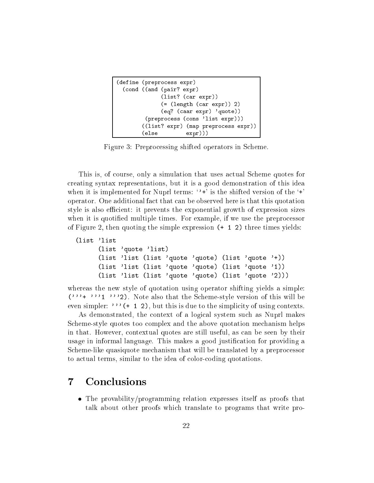```
(define (prepro
ess expr)
  \sqrt{2} (\sqrt{2} ) \sqrt{2} (pairs) \sqrt{2}(list? (
ar expr))
                 \sim \sim \sim \sim \sim \sim \sim \sim(eq? (
aar expr) 'quote))
          (prepro
ess (
ons 'list expr)))
         ((list? expr) (map prepro
ess expr))
         (else expr)))
```
Figure 3: Prepro
essing shifted operators in S
heme.

This is, of course, only a simulation that uses actual Scheme quotes for reating syntax representations, but it is a good demonstration of this idea when it is implemented for Nuprl terms:  $\cdot$ +' is the shifted version of the  $\cdot$ +' operator. One additional fa
t that an be observed here is that this quotation style is also efficient: it prevents the exponential growth of expression sizes when it is quotified multiple times. For example, if we use the preprocessor of Figure 2, then quoting the simple expression (+ <sup>1</sup> 2) three times yields:

```
(list 'list
      (list 'quote 'list)
      (list 'list (list 'quote 'quote) (list 'quote '+))
      (list 'list (list 'quote 'quote) (list 'quote '1))
      (list 'list (list 'quote 'quote) (list 'quote '2)))
```
whereas the new style of quotation using operator shifting yields a simple: ('''+ '''1 '''2). Note also that the S
heme-style version of this will be even simpler: '''( $+ 1 2$ ), but this is due to the simplicity of using contexts.

As demonstrated, the context of a logical system such as Nuprl makes S
heme-style quotes too omplex and the above quotation me
hanism helps in that. However, ontextual quotes are still useful, as an be seen by their usage in informal language. This makes a good justification for providing a S
heme-like quasiquote me
hanism that will be translated by a prepro
essor to actual terms, similar to the idea of color-coding quotations.

## $\overline{7}$

 The provability/programming relation expresses itself as proofs that talk about other proofs whi
h translate to programs that write pro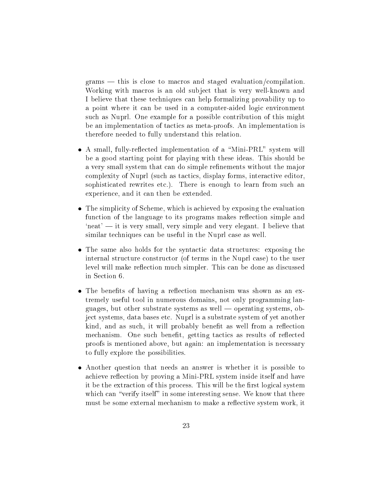grams — this is close to macros and staged evaluation/compilation. Working with macros is an old subject that is very well-known and I believe that these te
hniques an help formalizing provability up to a point where it can be used in a computer-aided logic environment su
h as Nuprl. One example for a possible ontribution of this might be an implementation of tactics as meta-proofs. An implementation is therefore needed to fully understand this relation.

- ted implementation of a small system will be a second term of a system will see be a good starting point for playing with these ideas. This should be a very small system that can do simple refinements without the major complexity of Nuprl (such as tactics, display forms, interactive editor, sophisticated rewrites etc.). There is enough to learn from such an experien
e, and it an then be extended.
- ity of September 1, and the evaluation in the exposition of the evaluation of the evaluation of the evaluation function of the language to its programs makes reflection simple and  $\gamma$  'neat'  $\gamma$  it is very small, very simple and very elegant. I believe that similar techniques can be useful in the Nuprl case as well.
- the structure for the structure for the structure of the structure the structure  $\mathcal{A}$  there internal structure constructor (of terms in the Nuprl case) to the user level will make reflection much simpler. This can be done as discussed in Se
tion 6.
- The benets of having a re
e
tion me
hanism was shown as an extremely useful tool in numerous domains, not only programming languages, but other substrate systems as well — operating systems, obje
t systems, data bases et
. Nuprl is a substrate system of yet another kind, and as such, it will probably benefit as well from a reflection mechanism. One such benefit, getting tactics as results of reflected proofs is mentioned above, but again: an implementation is ne
essary to fully explore the possibilities.
- Another question that needs an answer is whether it is possible to achieve reflection by proving a Mini-PRL system inside itself and have it be the extraction of this process. This will be the first logical system which can "verify itself" in some interesting sense. We know that there must be some external mechanism to make a reflective system work, it